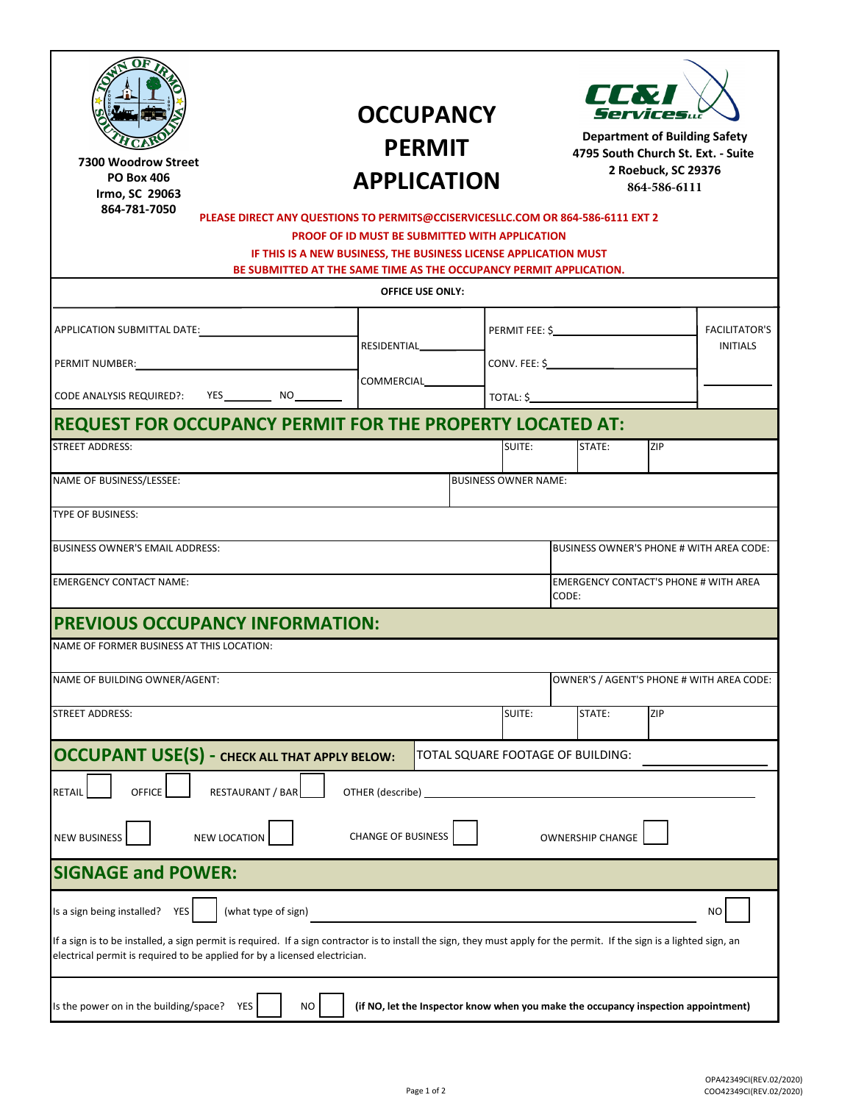| 12 W<br>M S                                                                                                                                                                                                                                           | <b>OCCUPANCY</b><br><b>PERMIT</b><br><b>APPLICATION</b>                                                                                                                                                                                                                     |                                   |                             | <b>ELEXT</b><br><b>Services</b><br><b>Department of Building Safety</b><br>4795 South Church St. Ext. - Suite<br>2 Roebuck, SC 29376<br>864-586-6111 |        |     |                                         |
|-------------------------------------------------------------------------------------------------------------------------------------------------------------------------------------------------------------------------------------------------------|-----------------------------------------------------------------------------------------------------------------------------------------------------------------------------------------------------------------------------------------------------------------------------|-----------------------------------|-----------------------------|------------------------------------------------------------------------------------------------------------------------------------------------------|--------|-----|-----------------------------------------|
| SC 26<br>W<br>$864 - 84 - 4$                                                                                                                                                                                                                          |                                                                                                                                                                                                                                                                             |                                   |                             |                                                                                                                                                      |        |     |                                         |
|                                                                                                                                                                                                                                                       | PLEASE DIRECT ANY QUESTIONS TO PERMITS@CCISERVICESLLC.COM OR 864-586-6111 EXT 2<br>PROOF OF ID MUST BE SUBMITTED WITH APPLICATION<br>IF THIS IS A NEW BUSINESS, THE BUSINESS LICENSE APPLICATION MUST<br>BE SUBMITTED AT THE SAME TIME AS THE OCCUPANCY PERMIT APPLICATION. |                                   |                             |                                                                                                                                                      |        |     |                                         |
|                                                                                                                                                                                                                                                       | <b>OFFICE USE ONLY:</b>                                                                                                                                                                                                                                                     |                                   |                             |                                                                                                                                                      |        |     |                                         |
|                                                                                                                                                                                                                                                       |                                                                                                                                                                                                                                                                             |                                   |                             | $\overline{CONV. FEE: $$                                                                                                                             |        |     | <b>FACILITATOR'S</b><br><b>INITIALS</b> |
| PERMIT NUMBER: NAMEL AND RESERVE TO A SERIES AND RESERVE TO A SERIES AND RESERVE TO A SERIES AND RESERVE TO A SAMPLE TO A SERIES AND RESERVE TO A SERIES AND RESERVE TO A SERIES OF THE STATE OF THE STATE OF THE STATE OF THE                        |                                                                                                                                                                                                                                                                             |                                   |                             |                                                                                                                                                      |        |     |                                         |
|                                                                                                                                                                                                                                                       |                                                                                                                                                                                                                                                                             |                                   |                             |                                                                                                                                                      |        |     |                                         |
| REQUEST FOR OCCUPANCY PERMIT FOR THE PROPERTY LOCATED AT:                                                                                                                                                                                             |                                                                                                                                                                                                                                                                             |                                   |                             |                                                                                                                                                      |        |     |                                         |
| <b>STREET ADDRESS:</b>                                                                                                                                                                                                                                |                                                                                                                                                                                                                                                                             |                                   | SUITE:                      |                                                                                                                                                      | STATE: | ZIP |                                         |
| NAME OF BUSINESS/LESSEE:                                                                                                                                                                                                                              |                                                                                                                                                                                                                                                                             |                                   | <b>BUSINESS OWNER NAME:</b> |                                                                                                                                                      |        |     |                                         |
| TYPE OF BUSINESS:                                                                                                                                                                                                                                     |                                                                                                                                                                                                                                                                             |                                   |                             |                                                                                                                                                      |        |     |                                         |
| BUSINESS OWNER'S EMAIL ADDRESS:<br>BUSINESS OWNER'S PHONE # WITH AREA CODE:                                                                                                                                                                           |                                                                                                                                                                                                                                                                             |                                   |                             |                                                                                                                                                      |        |     |                                         |
| <b>EMERGENCY CONTACT NAME:</b>                                                                                                                                                                                                                        |                                                                                                                                                                                                                                                                             |                                   |                             | <b>EMERGENCY CONTACT'S PHONE # WITH AREA</b><br>CODE:                                                                                                |        |     |                                         |
| <b>PREVIOUS OCCUPANCY INFORMATION:</b>                                                                                                                                                                                                                |                                                                                                                                                                                                                                                                             |                                   |                             |                                                                                                                                                      |        |     |                                         |
| NAME OF FORMER BUSINESS AT THIS LOCATION:                                                                                                                                                                                                             |                                                                                                                                                                                                                                                                             |                                   |                             |                                                                                                                                                      |        |     |                                         |
| NAME OF BUILDING OWNER/AGENT:                                                                                                                                                                                                                         |                                                                                                                                                                                                                                                                             |                                   |                             | OWNER'S / AGENT'S PHONE # WITH AREA CODE:                                                                                                            |        |     |                                         |
| <b>STREET ADDRESS:</b>                                                                                                                                                                                                                                |                                                                                                                                                                                                                                                                             |                                   | SUITE:                      |                                                                                                                                                      | STATE: | ZIP |                                         |
| <b>OCCUPANT USE(S) - CHECK ALL THAT APPLY BELOW:</b>                                                                                                                                                                                                  |                                                                                                                                                                                                                                                                             | TOTAL SQUARE FOOTAGE OF BUILDING: |                             |                                                                                                                                                      |        |     |                                         |
| <b>RESTAURANT / BAR</b><br><b>OFFICE</b><br>RETAIL                                                                                                                                                                                                    | OTHER (describe)                                                                                                                                                                                                                                                            |                                   |                             |                                                                                                                                                      |        |     |                                         |
| <b>CHANGE OF BUSINESS</b><br><b>NEW LOCATION</b><br><b>NEW BUSINESS</b><br><b>OWNERSHIP CHANGE</b>                                                                                                                                                    |                                                                                                                                                                                                                                                                             |                                   |                             |                                                                                                                                                      |        |     |                                         |
| <b>SIGNAGE and POWER:</b>                                                                                                                                                                                                                             |                                                                                                                                                                                                                                                                             |                                   |                             |                                                                                                                                                      |        |     |                                         |
| Is a sign being installed?<br><b>YES</b><br>(what type of sign)<br>NO                                                                                                                                                                                 |                                                                                                                                                                                                                                                                             |                                   |                             |                                                                                                                                                      |        |     |                                         |
| If a sign is to be installed, a sign permit is required. If a sign contractor is to install the sign, they must apply for the permit. If the sign is a lighted sign, an<br>electrical permit is required to be applied for by a licensed electrician. |                                                                                                                                                                                                                                                                             |                                   |                             |                                                                                                                                                      |        |     |                                         |
| Is the power on in the building/space? YES<br>(if NO, let the Inspector know when you make the occupancy inspection appointment)<br>NO.                                                                                                               |                                                                                                                                                                                                                                                                             |                                   |                             |                                                                                                                                                      |        |     |                                         |